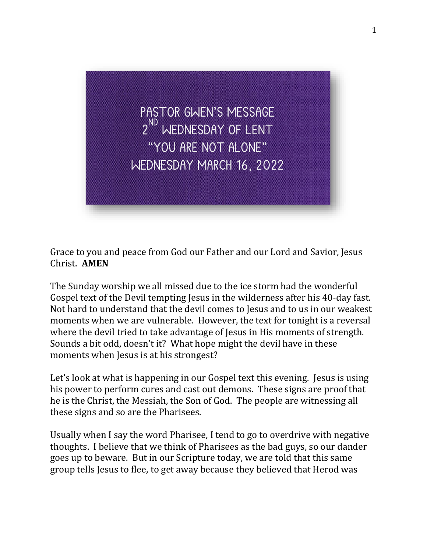

Grace to you and peace from God our Father and our Lord and Savior, Jesus Christ. **AMEN**

The Sunday worship we all missed due to the ice storm had the wonderful Gospel text of the Devil tempting Jesus in the wilderness after his 40-day fast. Not hard to understand that the devil comes to Jesus and to us in our weakest moments when we are vulnerable. However, the text for tonight is a reversal where the devil tried to take advantage of Jesus in His moments of strength. Sounds a bit odd, doesn't it? What hope might the devil have in these moments when Jesus is at his strongest?

Let's look at what is happening in our Gospel text this evening. Jesus is using his power to perform cures and cast out demons. These signs are proof that he is the Christ, the Messiah, the Son of God. The people are witnessing all these signs and so are the Pharisees.

Usually when I say the word Pharisee, I tend to go to overdrive with negative thoughts. I believe that we think of Pharisees as the bad guys, so our dander goes up to beware. But in our Scripture today, we are told that this same group tells Jesus to flee, to get away because they believed that Herod was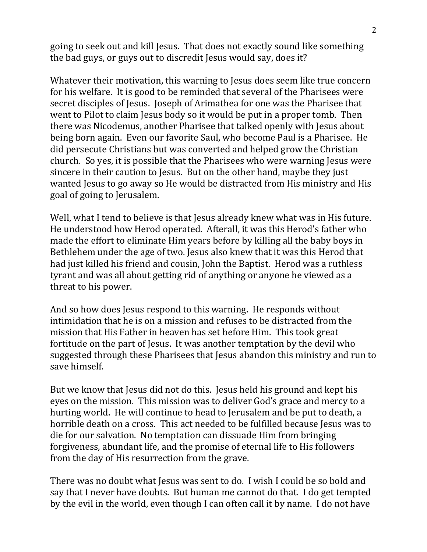going to seek out and kill Jesus. That does not exactly sound like something the bad guys, or guys out to discredit Jesus would say, does it?

Whatever their motivation, this warning to Jesus does seem like true concern for his welfare. It is good to be reminded that several of the Pharisees were secret disciples of Jesus. Joseph of Arimathea for one was the Pharisee that went to Pilot to claim Jesus body so it would be put in a proper tomb. Then there was Nicodemus, another Pharisee that talked openly with Jesus about being born again. Even our favorite Saul, who become Paul is a Pharisee. He did persecute Christians but was converted and helped grow the Christian church. So yes, it is possible that the Pharisees who were warning Jesus were sincere in their caution to Jesus. But on the other hand, maybe they just wanted Jesus to go away so He would be distracted from His ministry and His goal of going to Jerusalem.

Well, what I tend to believe is that Jesus already knew what was in His future. He understood how Herod operated. Afterall, it was this Herod's father who made the effort to eliminate Him years before by killing all the baby boys in Bethlehem under the age of two. Jesus also knew that it was this Herod that had just killed his friend and cousin, John the Baptist. Herod was a ruthless tyrant and was all about getting rid of anything or anyone he viewed as a threat to his power.

And so how does Jesus respond to this warning. He responds without intimidation that he is on a mission and refuses to be distracted from the mission that His Father in heaven has set before Him. This took great fortitude on the part of Jesus. It was another temptation by the devil who suggested through these Pharisees that Jesus abandon this ministry and run to save himself.

But we know that Jesus did not do this. Jesus held his ground and kept his eyes on the mission. This mission was to deliver God's grace and mercy to a hurting world. He will continue to head to Jerusalem and be put to death, a horrible death on a cross. This act needed to be fulfilled because Jesus was to die for our salvation. No temptation can dissuade Him from bringing forgiveness, abundant life, and the promise of eternal life to His followers from the day of His resurrection from the grave.

There was no doubt what Jesus was sent to do. I wish I could be so bold and say that I never have doubts. But human me cannot do that. I do get tempted by the evil in the world, even though I can often call it by name. I do not have